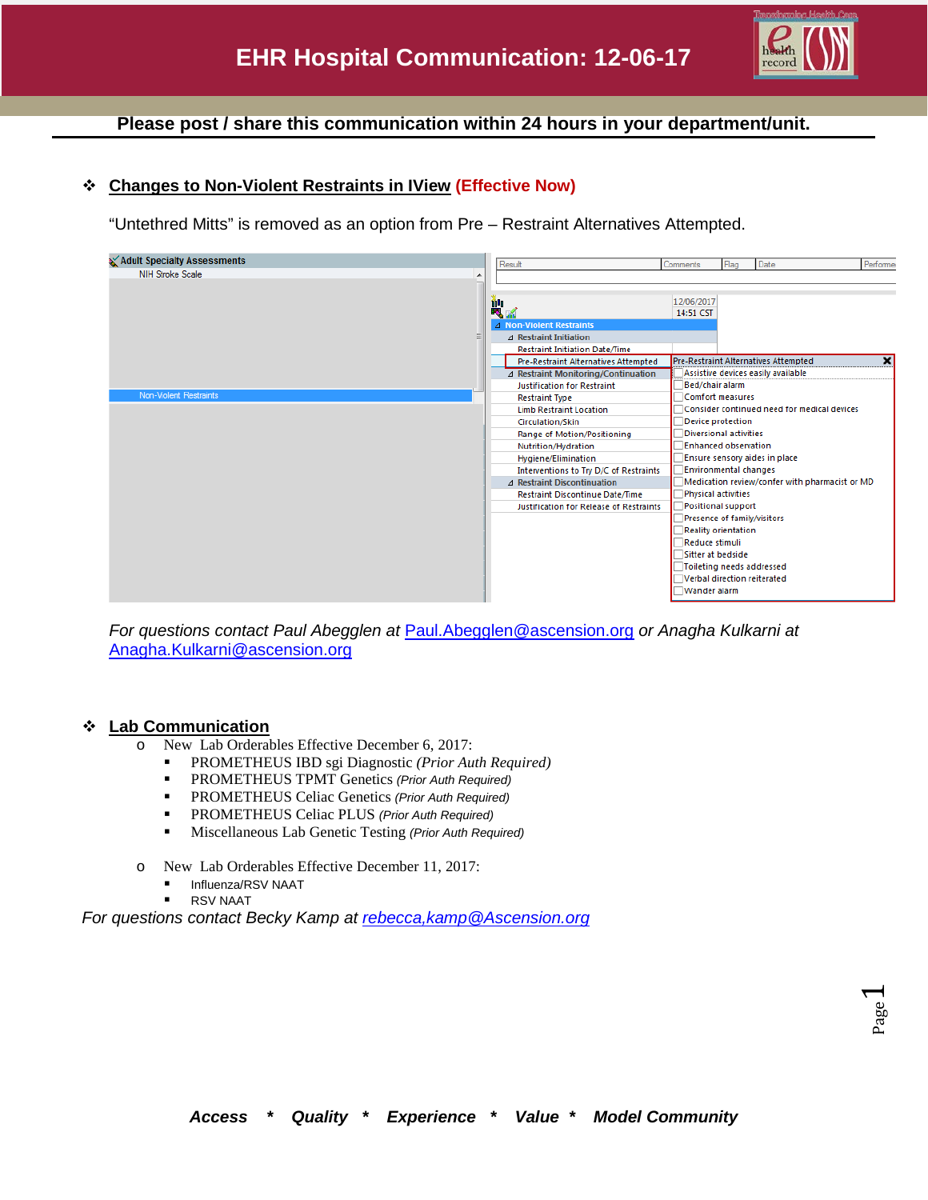

### **Please post / share this communication within 24 hours in your department/unit.**

### **Changes to Non-Violent Restraints in IView (Effective Now)**

"Untethred Mitts" is removed as an option from Pre – Restraint Alternatives Attempted.



*For questions contact Paul Abegglen at* [Paul.Abegglen@ascension.org](mailto:Paul.Abegglen@ascension.org) *or Anagha Kulkarni at*  [Anagha.Kulkarni@ascension.org](mailto:Anagha.Kulkarni@ascension.org)

#### **Lab Communication**

- o New Lab Orderables Effective December 6, 2017:
	- PROMETHEUS IBD sgi Diagnostic *(Prior Auth Required)*
	- PROMETHEUS TPMT Genetics *(Prior Auth Required)*
	- PROMETHEUS Celiac Genetics *(Prior Auth Required)*
	- PROMETHEUS Celiac PLUS *(Prior Auth Required)*
	- Miscellaneous Lab Genetic Testing *(Prior Auth Required)*
- o New Lab Orderables Effective December 11, 2017:
	- Influenza/RSV NAAT
		- RSV NAAT

*For questions contact Becky Kamp at [rebecca,kamp@Ascension.org](mailto:Sandra.Christoffel-brewer@Ascension.org)*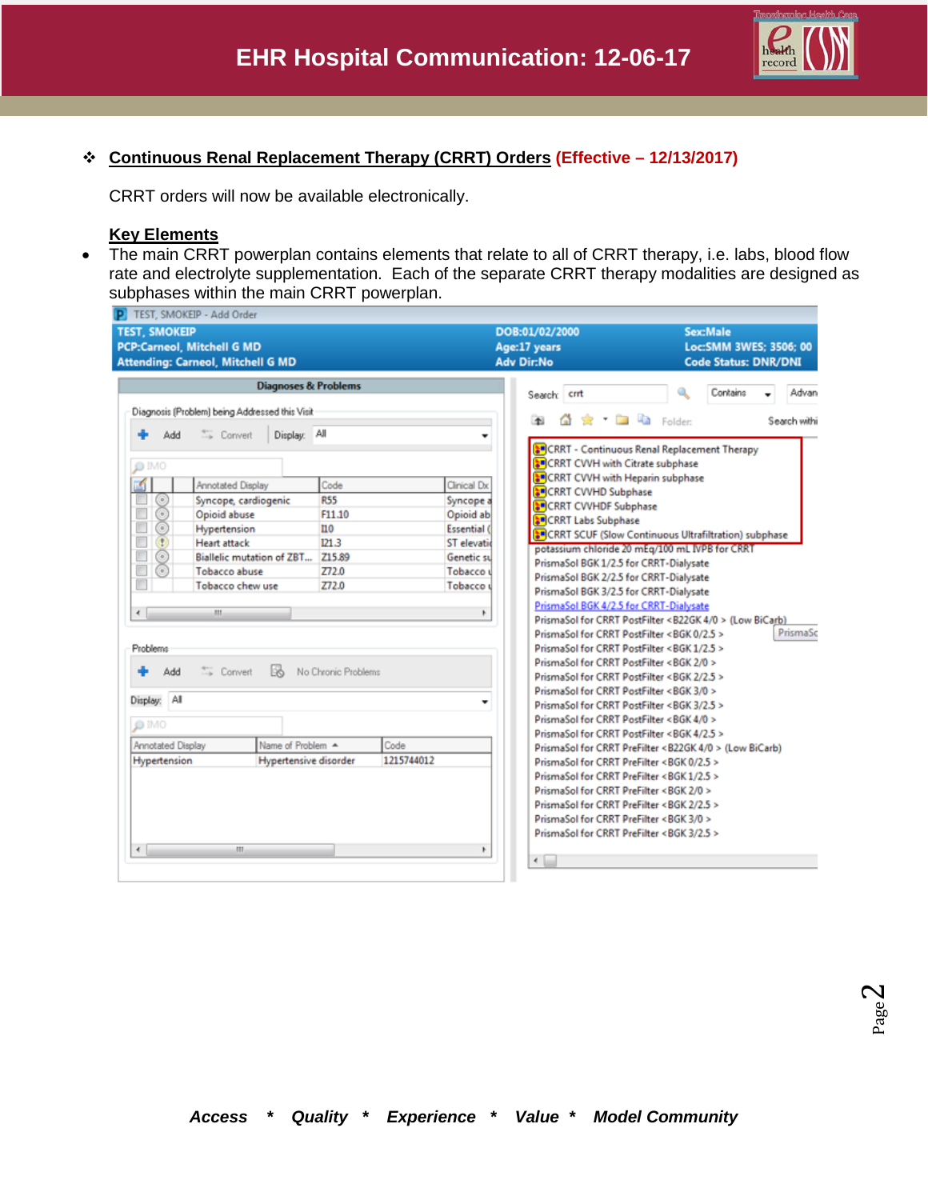

#### **Continuous Renal Replacement Therapy (CRRT) Orders (Effective – 12/13/2017)**

CRRT orders will now be available electronically.

### **Key Elements**

• The main CRRT powerplan contains elements that relate to all of CRRT therapy, i.e. labs, blood flow rate and electrolyte supplementation. Each of the separate CRRT therapy modalities are designed as subphases within the main CRRT powerplan.

| <b>Diagnoses &amp; Problems</b><br>Contains<br>Search: crrt<br>Diagnosis (Problem) being Addressed this Visit<br><b>Call Folder:</b><br>Ω<br>۳Ř<br>$\star$<br>Display: All<br>Convert<br>Add<br><b>SP</b> CRRT - Continuous Renal Replacement Therapy<br><b>SP</b> CRRT CVVH with Citrate subphase<br>O IMO<br><b>SP</b> CRRT CVVH with Heparin subphase<br>Code<br>Clinical Dx<br>Annotated Display<br>CRRT CVVHD Subphase<br><b>R55</b><br>$\odot$ O $\odot$<br>Syncope, cardiogenic<br>Syncope a<br><b>SP</b> CRRT CVVHDF Subphase<br>F<br>Opioid abuse<br>Opioid ab<br>F11.10<br>CRRT Labs Subphase<br>E<br>Hypertension<br>110<br><b>Essential</b> (<br>SOCRRT SCUF (Slow Continuous Ultrafiltration) subphase<br>П<br><b>Heart attack</b><br>121.3<br><b>ST</b> elevatio<br>potassium chloride 20 mEq/100 mL IVPB for CRRT<br>$\odot$<br>Г<br>Biallelic mutation of ZBT<br>Z15.89<br>Genetic su<br>PrismaSol BGK 1/2.5 for CRRT-Dialysate<br>E<br>Z72.0<br><b>Tobacco abuse</b><br>Tobacco u<br>PrismaSol BGK 2/2.5 for CRRT-Dialysate<br>П<br>Tobacco chew use<br>Z72.0<br>Tobacco u<br>PrismaSol BGK 3/2.5 for CRRT-Dialysate<br>PrismaSol BGK 4/2.5 for CRRT-Dialysate<br>$\leftarrow$<br>Ш<br>Þ<br>PrismaSol for CRRT PostFilter <b22gk 0="" 4=""> (Low BiCarb)<br/>PrismaSol for CRRT PostFilter <bgk 0="" 2.5=""><br/>PrismaSol for CRRT PostFilter <bgk 1="" 2.5=""><br/>Problems<br/>PrismaSol for CRRT PostFilter <bgk 0="" 2=""><br/>13<br/>Convert<br/>No Chronic Problems<br/>Add<br/>PrismaSol for CRRT PostFilter <bgk 2="" 2.5=""><br/>PrismaSol for CRRT PostFilter <bgk 0="" 3=""><br/>Display: All<br/>PrismaSol for CRRT PostFilter <bgk 2.5="" 3=""><br/>PrismaSol for CRRT PostFilter <bgk 0="" 4=""><br/><math>1</math>MO<br/>PrismaSol for CRRT PostFilter <bgk 2.5="" 4=""><br/>Name of Problem A<br/>Code<br/><b>Annotated Display</b><br/>PrismaSol for CRRT PreFilter <b22gk 0="" 4=""> (Low BiCarb)<br/>1215744012<br/>Hypertensive disorder<br/>Hypertension<br/>PrismaSol for CRRT PreFilter <bgk 0="" 2.5=""><br/>PrismaSol for CRRT PreFilter <bgk 1="" 2.5=""><br/>PrismaSol for CRRT PreFilter <bgk 0="" 2=""><br/>PrismaSol for CRRT PreFilter <bgk 2="" 2.5=""><br/>PrismaSol for CRRT PreFilter <bgk 0="" 3=""><br/>PrismaSol for CRRT PreFilter <bgk 2.5="" 3=""><br/><math>\leftarrow</math><br/>m.<br/>۴</bgk></bgk></bgk></bgk></bgk></bgk></b22gk></bgk></bgk></bgk></bgk></bgk></bgk></bgk></bgk></b22gk> | <b>TEST, SMOKEIP</b> | <b>PCP:Carneol, Mitchell G MD</b><br><b>Attending: Carneol, Mitchell G MD</b> |  | DOB:01/02/2000<br>Age:17 years<br><b>Adv Dir:No</b> | <b>Sex:Male</b><br>Loc:SMM 3WES; 3506; 00<br><b>Code Status: DNR/DNI</b> |              |  |
|------------------------------------------------------------------------------------------------------------------------------------------------------------------------------------------------------------------------------------------------------------------------------------------------------------------------------------------------------------------------------------------------------------------------------------------------------------------------------------------------------------------------------------------------------------------------------------------------------------------------------------------------------------------------------------------------------------------------------------------------------------------------------------------------------------------------------------------------------------------------------------------------------------------------------------------------------------------------------------------------------------------------------------------------------------------------------------------------------------------------------------------------------------------------------------------------------------------------------------------------------------------------------------------------------------------------------------------------------------------------------------------------------------------------------------------------------------------------------------------------------------------------------------------------------------------------------------------------------------------------------------------------------------------------------------------------------------------------------------------------------------------------------------------------------------------------------------------------------------------------------------------------------------------------------------------------------------------------------------------------------------------------------------------------------------------------------------------------------------------------------------------------------------------------------------------------------------------------------------------------------------------------------------------------------------------------------------------------------------------------------------------------------------------------------------------------------------|----------------------|-------------------------------------------------------------------------------|--|-----------------------------------------------------|--------------------------------------------------------------------------|--------------|--|
|                                                                                                                                                                                                                                                                                                                                                                                                                                                                                                                                                                                                                                                                                                                                                                                                                                                                                                                                                                                                                                                                                                                                                                                                                                                                                                                                                                                                                                                                                                                                                                                                                                                                                                                                                                                                                                                                                                                                                                                                                                                                                                                                                                                                                                                                                                                                                                                                                                                            |                      |                                                                               |  |                                                     |                                                                          |              |  |
|                                                                                                                                                                                                                                                                                                                                                                                                                                                                                                                                                                                                                                                                                                                                                                                                                                                                                                                                                                                                                                                                                                                                                                                                                                                                                                                                                                                                                                                                                                                                                                                                                                                                                                                                                                                                                                                                                                                                                                                                                                                                                                                                                                                                                                                                                                                                                                                                                                                            |                      |                                                                               |  |                                                     |                                                                          | Advan        |  |
|                                                                                                                                                                                                                                                                                                                                                                                                                                                                                                                                                                                                                                                                                                                                                                                                                                                                                                                                                                                                                                                                                                                                                                                                                                                                                                                                                                                                                                                                                                                                                                                                                                                                                                                                                                                                                                                                                                                                                                                                                                                                                                                                                                                                                                                                                                                                                                                                                                                            |                      |                                                                               |  |                                                     |                                                                          | Search withi |  |
|                                                                                                                                                                                                                                                                                                                                                                                                                                                                                                                                                                                                                                                                                                                                                                                                                                                                                                                                                                                                                                                                                                                                                                                                                                                                                                                                                                                                                                                                                                                                                                                                                                                                                                                                                                                                                                                                                                                                                                                                                                                                                                                                                                                                                                                                                                                                                                                                                                                            |                      |                                                                               |  |                                                     |                                                                          |              |  |
|                                                                                                                                                                                                                                                                                                                                                                                                                                                                                                                                                                                                                                                                                                                                                                                                                                                                                                                                                                                                                                                                                                                                                                                                                                                                                                                                                                                                                                                                                                                                                                                                                                                                                                                                                                                                                                                                                                                                                                                                                                                                                                                                                                                                                                                                                                                                                                                                                                                            |                      |                                                                               |  |                                                     |                                                                          |              |  |
|                                                                                                                                                                                                                                                                                                                                                                                                                                                                                                                                                                                                                                                                                                                                                                                                                                                                                                                                                                                                                                                                                                                                                                                                                                                                                                                                                                                                                                                                                                                                                                                                                                                                                                                                                                                                                                                                                                                                                                                                                                                                                                                                                                                                                                                                                                                                                                                                                                                            |                      |                                                                               |  |                                                     |                                                                          |              |  |
|                                                                                                                                                                                                                                                                                                                                                                                                                                                                                                                                                                                                                                                                                                                                                                                                                                                                                                                                                                                                                                                                                                                                                                                                                                                                                                                                                                                                                                                                                                                                                                                                                                                                                                                                                                                                                                                                                                                                                                                                                                                                                                                                                                                                                                                                                                                                                                                                                                                            |                      |                                                                               |  |                                                     |                                                                          |              |  |
|                                                                                                                                                                                                                                                                                                                                                                                                                                                                                                                                                                                                                                                                                                                                                                                                                                                                                                                                                                                                                                                                                                                                                                                                                                                                                                                                                                                                                                                                                                                                                                                                                                                                                                                                                                                                                                                                                                                                                                                                                                                                                                                                                                                                                                                                                                                                                                                                                                                            |                      |                                                                               |  |                                                     |                                                                          |              |  |
|                                                                                                                                                                                                                                                                                                                                                                                                                                                                                                                                                                                                                                                                                                                                                                                                                                                                                                                                                                                                                                                                                                                                                                                                                                                                                                                                                                                                                                                                                                                                                                                                                                                                                                                                                                                                                                                                                                                                                                                                                                                                                                                                                                                                                                                                                                                                                                                                                                                            |                      |                                                                               |  |                                                     |                                                                          |              |  |
|                                                                                                                                                                                                                                                                                                                                                                                                                                                                                                                                                                                                                                                                                                                                                                                                                                                                                                                                                                                                                                                                                                                                                                                                                                                                                                                                                                                                                                                                                                                                                                                                                                                                                                                                                                                                                                                                                                                                                                                                                                                                                                                                                                                                                                                                                                                                                                                                                                                            |                      |                                                                               |  |                                                     |                                                                          |              |  |
|                                                                                                                                                                                                                                                                                                                                                                                                                                                                                                                                                                                                                                                                                                                                                                                                                                                                                                                                                                                                                                                                                                                                                                                                                                                                                                                                                                                                                                                                                                                                                                                                                                                                                                                                                                                                                                                                                                                                                                                                                                                                                                                                                                                                                                                                                                                                                                                                                                                            |                      |                                                                               |  |                                                     |                                                                          |              |  |
|                                                                                                                                                                                                                                                                                                                                                                                                                                                                                                                                                                                                                                                                                                                                                                                                                                                                                                                                                                                                                                                                                                                                                                                                                                                                                                                                                                                                                                                                                                                                                                                                                                                                                                                                                                                                                                                                                                                                                                                                                                                                                                                                                                                                                                                                                                                                                                                                                                                            |                      |                                                                               |  |                                                     |                                                                          |              |  |
|                                                                                                                                                                                                                                                                                                                                                                                                                                                                                                                                                                                                                                                                                                                                                                                                                                                                                                                                                                                                                                                                                                                                                                                                                                                                                                                                                                                                                                                                                                                                                                                                                                                                                                                                                                                                                                                                                                                                                                                                                                                                                                                                                                                                                                                                                                                                                                                                                                                            |                      |                                                                               |  |                                                     |                                                                          |              |  |
|                                                                                                                                                                                                                                                                                                                                                                                                                                                                                                                                                                                                                                                                                                                                                                                                                                                                                                                                                                                                                                                                                                                                                                                                                                                                                                                                                                                                                                                                                                                                                                                                                                                                                                                                                                                                                                                                                                                                                                                                                                                                                                                                                                                                                                                                                                                                                                                                                                                            |                      |                                                                               |  |                                                     |                                                                          |              |  |
|                                                                                                                                                                                                                                                                                                                                                                                                                                                                                                                                                                                                                                                                                                                                                                                                                                                                                                                                                                                                                                                                                                                                                                                                                                                                                                                                                                                                                                                                                                                                                                                                                                                                                                                                                                                                                                                                                                                                                                                                                                                                                                                                                                                                                                                                                                                                                                                                                                                            |                      |                                                                               |  |                                                     |                                                                          |              |  |
|                                                                                                                                                                                                                                                                                                                                                                                                                                                                                                                                                                                                                                                                                                                                                                                                                                                                                                                                                                                                                                                                                                                                                                                                                                                                                                                                                                                                                                                                                                                                                                                                                                                                                                                                                                                                                                                                                                                                                                                                                                                                                                                                                                                                                                                                                                                                                                                                                                                            |                      |                                                                               |  |                                                     |                                                                          | PrismaSc     |  |
|                                                                                                                                                                                                                                                                                                                                                                                                                                                                                                                                                                                                                                                                                                                                                                                                                                                                                                                                                                                                                                                                                                                                                                                                                                                                                                                                                                                                                                                                                                                                                                                                                                                                                                                                                                                                                                                                                                                                                                                                                                                                                                                                                                                                                                                                                                                                                                                                                                                            |                      |                                                                               |  |                                                     |                                                                          |              |  |
|                                                                                                                                                                                                                                                                                                                                                                                                                                                                                                                                                                                                                                                                                                                                                                                                                                                                                                                                                                                                                                                                                                                                                                                                                                                                                                                                                                                                                                                                                                                                                                                                                                                                                                                                                                                                                                                                                                                                                                                                                                                                                                                                                                                                                                                                                                                                                                                                                                                            |                      |                                                                               |  |                                                     |                                                                          |              |  |
|                                                                                                                                                                                                                                                                                                                                                                                                                                                                                                                                                                                                                                                                                                                                                                                                                                                                                                                                                                                                                                                                                                                                                                                                                                                                                                                                                                                                                                                                                                                                                                                                                                                                                                                                                                                                                                                                                                                                                                                                                                                                                                                                                                                                                                                                                                                                                                                                                                                            |                      |                                                                               |  |                                                     |                                                                          |              |  |
|                                                                                                                                                                                                                                                                                                                                                                                                                                                                                                                                                                                                                                                                                                                                                                                                                                                                                                                                                                                                                                                                                                                                                                                                                                                                                                                                                                                                                                                                                                                                                                                                                                                                                                                                                                                                                                                                                                                                                                                                                                                                                                                                                                                                                                                                                                                                                                                                                                                            |                      |                                                                               |  |                                                     |                                                                          |              |  |
|                                                                                                                                                                                                                                                                                                                                                                                                                                                                                                                                                                                                                                                                                                                                                                                                                                                                                                                                                                                                                                                                                                                                                                                                                                                                                                                                                                                                                                                                                                                                                                                                                                                                                                                                                                                                                                                                                                                                                                                                                                                                                                                                                                                                                                                                                                                                                                                                                                                            |                      |                                                                               |  |                                                     |                                                                          |              |  |
|                                                                                                                                                                                                                                                                                                                                                                                                                                                                                                                                                                                                                                                                                                                                                                                                                                                                                                                                                                                                                                                                                                                                                                                                                                                                                                                                                                                                                                                                                                                                                                                                                                                                                                                                                                                                                                                                                                                                                                                                                                                                                                                                                                                                                                                                                                                                                                                                                                                            |                      |                                                                               |  |                                                     |                                                                          |              |  |
|                                                                                                                                                                                                                                                                                                                                                                                                                                                                                                                                                                                                                                                                                                                                                                                                                                                                                                                                                                                                                                                                                                                                                                                                                                                                                                                                                                                                                                                                                                                                                                                                                                                                                                                                                                                                                                                                                                                                                                                                                                                                                                                                                                                                                                                                                                                                                                                                                                                            |                      |                                                                               |  |                                                     |                                                                          |              |  |
|                                                                                                                                                                                                                                                                                                                                                                                                                                                                                                                                                                                                                                                                                                                                                                                                                                                                                                                                                                                                                                                                                                                                                                                                                                                                                                                                                                                                                                                                                                                                                                                                                                                                                                                                                                                                                                                                                                                                                                                                                                                                                                                                                                                                                                                                                                                                                                                                                                                            |                      |                                                                               |  |                                                     |                                                                          |              |  |
|                                                                                                                                                                                                                                                                                                                                                                                                                                                                                                                                                                                                                                                                                                                                                                                                                                                                                                                                                                                                                                                                                                                                                                                                                                                                                                                                                                                                                                                                                                                                                                                                                                                                                                                                                                                                                                                                                                                                                                                                                                                                                                                                                                                                                                                                                                                                                                                                                                                            |                      |                                                                               |  |                                                     |                                                                          |              |  |
|                                                                                                                                                                                                                                                                                                                                                                                                                                                                                                                                                                                                                                                                                                                                                                                                                                                                                                                                                                                                                                                                                                                                                                                                                                                                                                                                                                                                                                                                                                                                                                                                                                                                                                                                                                                                                                                                                                                                                                                                                                                                                                                                                                                                                                                                                                                                                                                                                                                            |                      |                                                                               |  |                                                     |                                                                          |              |  |
|                                                                                                                                                                                                                                                                                                                                                                                                                                                                                                                                                                                                                                                                                                                                                                                                                                                                                                                                                                                                                                                                                                                                                                                                                                                                                                                                                                                                                                                                                                                                                                                                                                                                                                                                                                                                                                                                                                                                                                                                                                                                                                                                                                                                                                                                                                                                                                                                                                                            |                      |                                                                               |  |                                                     |                                                                          |              |  |
|                                                                                                                                                                                                                                                                                                                                                                                                                                                                                                                                                                                                                                                                                                                                                                                                                                                                                                                                                                                                                                                                                                                                                                                                                                                                                                                                                                                                                                                                                                                                                                                                                                                                                                                                                                                                                                                                                                                                                                                                                                                                                                                                                                                                                                                                                                                                                                                                                                                            |                      |                                                                               |  |                                                     |                                                                          |              |  |
|                                                                                                                                                                                                                                                                                                                                                                                                                                                                                                                                                                                                                                                                                                                                                                                                                                                                                                                                                                                                                                                                                                                                                                                                                                                                                                                                                                                                                                                                                                                                                                                                                                                                                                                                                                                                                                                                                                                                                                                                                                                                                                                                                                                                                                                                                                                                                                                                                                                            |                      |                                                                               |  |                                                     |                                                                          |              |  |
|                                                                                                                                                                                                                                                                                                                                                                                                                                                                                                                                                                                                                                                                                                                                                                                                                                                                                                                                                                                                                                                                                                                                                                                                                                                                                                                                                                                                                                                                                                                                                                                                                                                                                                                                                                                                                                                                                                                                                                                                                                                                                                                                                                                                                                                                                                                                                                                                                                                            |                      |                                                                               |  |                                                     |                                                                          |              |  |
|                                                                                                                                                                                                                                                                                                                                                                                                                                                                                                                                                                                                                                                                                                                                                                                                                                                                                                                                                                                                                                                                                                                                                                                                                                                                                                                                                                                                                                                                                                                                                                                                                                                                                                                                                                                                                                                                                                                                                                                                                                                                                                                                                                                                                                                                                                                                                                                                                                                            |                      |                                                                               |  |                                                     |                                                                          |              |  |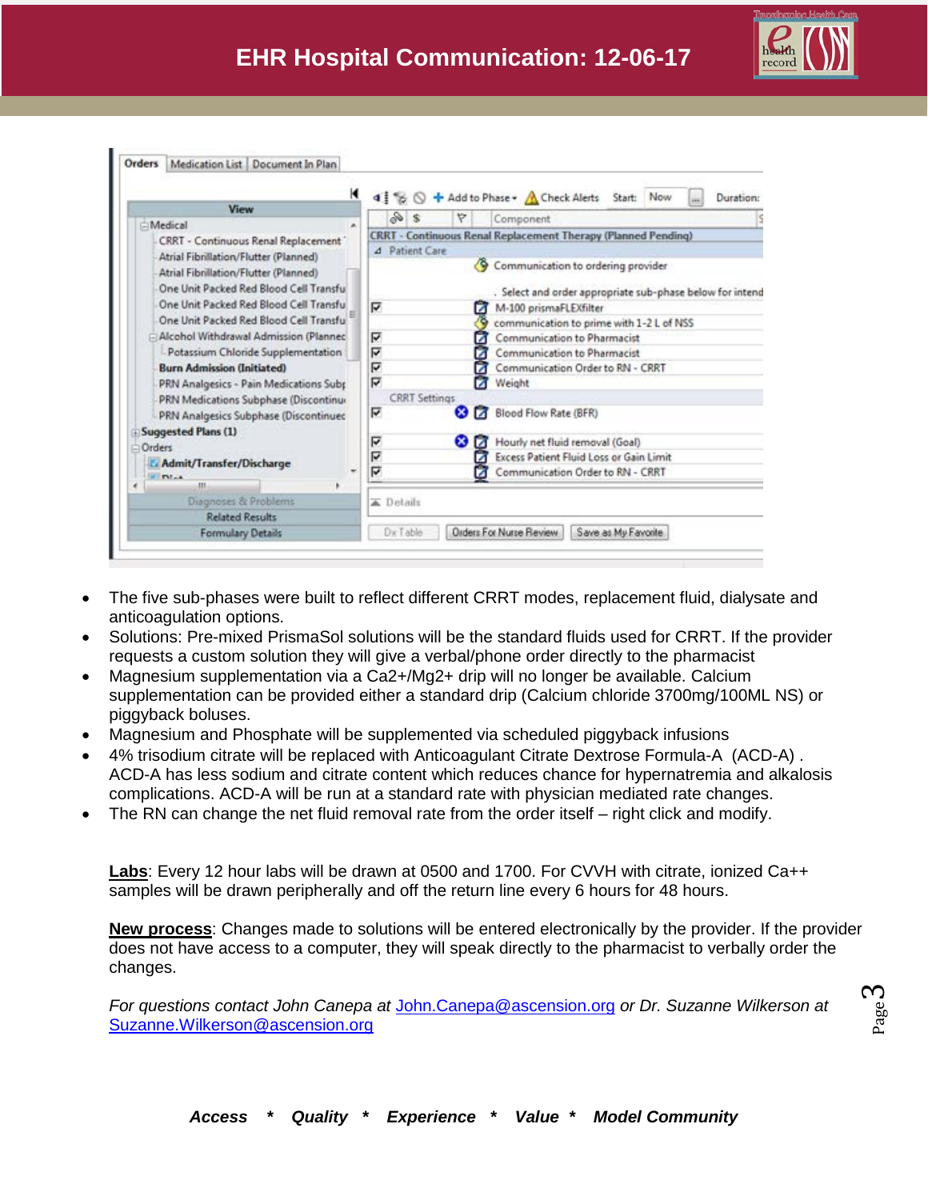



- The five sub-phases were built to reflect different CRRT modes, replacement fluid, dialysate and anticoagulation options.
- Solutions: Pre-mixed PrismaSol solutions will be the standard fluids used for CRRT. If the provider requests a custom solution they will give a verbal/phone order directly to the pharmacist
- Magnesium supplementation via a Ca2+/Mg2+ drip will no longer be available. Calcium supplementation can be provided either a standard drip (Calcium chloride 3700mg/100ML NS) or piggyback boluses.
- Magnesium and Phosphate will be supplemented via scheduled piggyback infusions
- 4% trisodium citrate will be replaced with Anticoagulant Citrate Dextrose Formula-A (ACD-A) . ACD-A has less sodium and citrate content which reduces chance for hypernatremia and alkalosis complications. ACD-A will be run at a standard rate with physician mediated rate changes.
- The RN can change the net fluid removal rate from the order itself right click and modify.

**Labs**: Every 12 hour labs will be drawn at 0500 and 1700. For CVVH with citrate, ionized Ca++ samples will be drawn peripherally and off the return line every 6 hours for 48 hours.

**New process**: Changes made to solutions will be entered electronically by the provider. If the provider does not have access to a computer, they will speak directly to the pharmacist to verbally order the changes.

*For questions contact John Canepa at* [John.Canepa@ascension.org](mailto:John.Canepa@ascension.org) *or Dr. Suzanne Wilkerson at*  [Suzanne.Wilkerson@ascension.org](mailto:Suzanne.Wilkerson@ascension.org)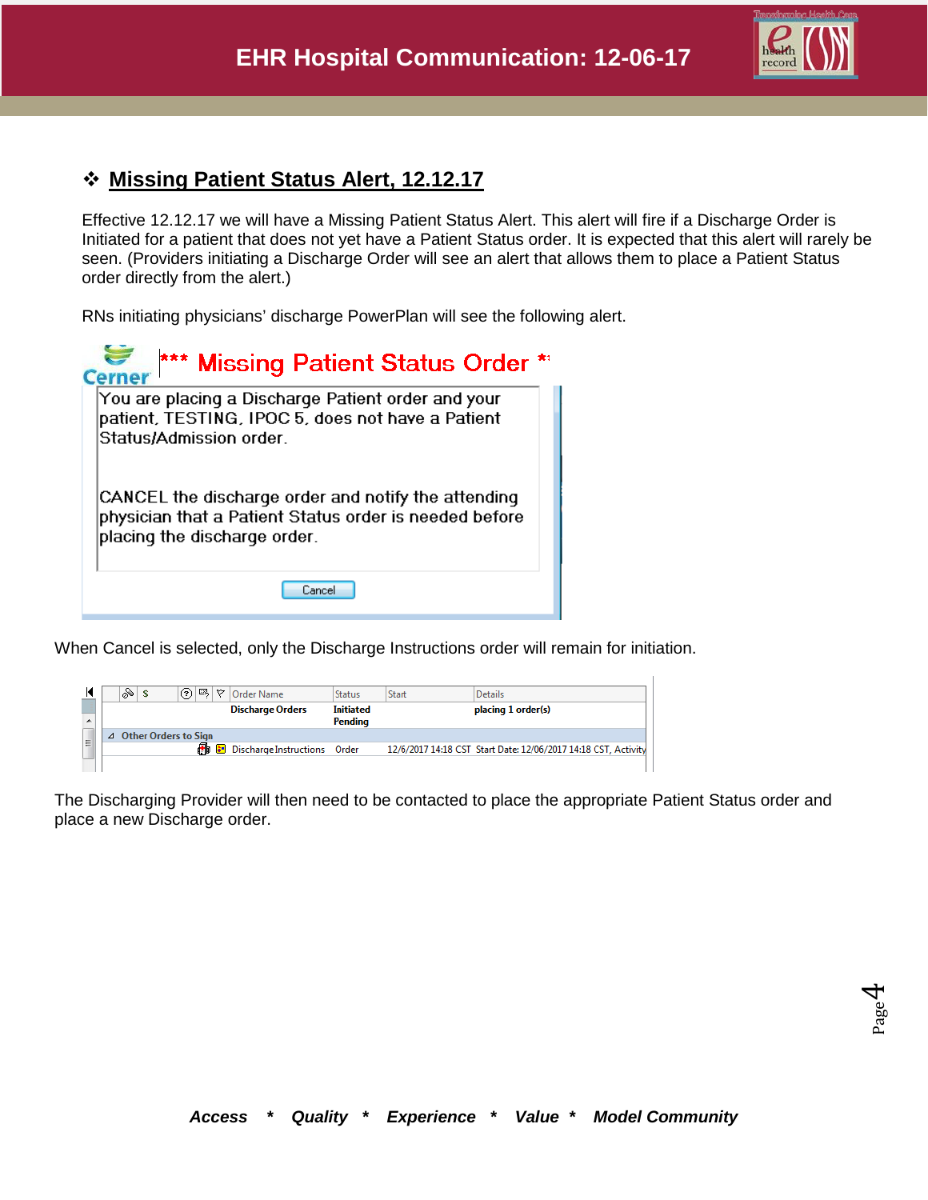

## **Missing Patient Status Alert, 12.12.17**

Effective 12.12.17 we will have a Missing Patient Status Alert. This alert will fire if a Discharge Order is Initiated for a patient that does not yet have a Patient Status order. It is expected that this alert will rarely be seen. (Providers initiating a Discharge Order will see an alert that allows them to place a Patient Status order directly from the alert.)

RNs initiating physicians' discharge PowerPlan will see the following alert.

| *** Missing Patient Status Order *                                                                                                            |
|-----------------------------------------------------------------------------------------------------------------------------------------------|
| You are placing a Discharge Patient order and your<br>patient, TESTING, IPOC 5, does not have a Patient<br>Status/Admission order.            |
| CANCEL the discharge order and notify the attending<br>physician that a Patient Status order is needed before<br>placing the discharge order. |
| Cancel                                                                                                                                        |

When Cancel is selected, only the Discharge Instructions order will remain for initiation.

|   | ⊗ | \$                          | ? | 國 | ▽ | <b>Order Name</b>                     | <b>Status</b>               | <b>Start</b> | <b>Details</b>                                                 |
|---|---|-----------------------------|---|---|---|---------------------------------------|-----------------------------|--------------|----------------------------------------------------------------|
| ۰ |   |                             |   |   |   | <b>Discharge Orders</b>               | <b>Initiated</b><br>Pendina |              | placing 1 order(s)                                             |
|   |   | <b>Other Orders to Sign</b> |   |   |   |                                       |                             |              |                                                                |
| Ξ |   |                             |   |   |   | <b>B</b> Discharge Instructions Order |                             |              | 12/6/2017 14:18 CST Start Date: 12/06/2017 14:18 CST, Activity |
|   |   |                             |   |   |   |                                       |                             |              |                                                                |

The Discharging Provider will then need to be contacted to place the appropriate Patient Status order and place a new Discharge order.